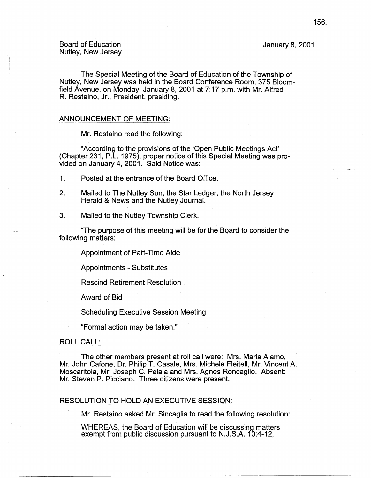# January 8, 2001

-----~-- ----- - ---

The Special Meeting of the Board of Education of the Township of Nutley, New Jersey was held in the Board Conference Room, 375 Bloomfield Avenue, on Monday, January 8, 2001 at 7: 17 p.m. with Mr. Alfred R. Restaino, Jr., President, presiding.

# ANNOUNCEMENT OF MEETING:

Mr. Restaino read the following:

"According to the provisions of the 'Open Public Meetings Act' (Chapter 231, P.L. 1975), proper notice of this Special Meeting was provided on January 4, 2001. Said Notice was:

- 1. Posted at the entrance of the Board Office.
- 2. Mailed to The Nutley Sun, the Star Ledger, the North Jersey Herald & News and the Nutley Journal.
- 3. Mailed to the Nutley Township Clerk.

"The purpose of this meeting will be for the Board to consider the following matters:

Appointment of Part-Time Aide

Appointments - Substitutes

Rescind Retirement Resolution

Award of Bid

Scheduling Executive Session Meeting

"Formal action may be taken."

# ROLL CALL:

The other members present at roll call were: Mrs. Maria Alamo, Mr. John Cafone, Dr. Philip T. Casale, Mrs. Michele Fleitell, Mr. Vincent A. Moscaritola, Mr. Joseph C. Pelaia and Mrs. Agnes Roncaglio. Absent: Mr. Steven P. Picciano. Three citizens were present.

### RESOLUTION TO HOLD AN EXECUTIVE SESSION:

Mr. Restaino asked Mr. Sincaglia to read the following resolution:

WHEREAS, the Board of Education will be discussing matters exempt from public discussion pursuant to N.J.S.A. 10:4-12,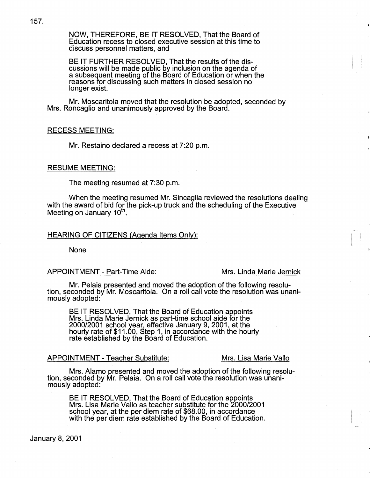NOW, THEREFORE, BE IT RESOLVED, That the Board of Education recess to closed executive session at this time to discuss personnel matters, and

BE IT FURTHER RESOLVED, That the results of the discussions will be made public by inclusion on the agenda of a subsequent meeting of the Board of Education or when the reasons for discussing such matters in closed session no longer exist.

Mr. Moscaritola moved that the resolution be adopted, seconded by Mrs. Roncaglio and unanimously approved by the Board.

# RECESS MEETING:

Mr. Restaino declared a recess at 7:20 p.m.

# RESUME MEETING:

The meeting resumed at 7:30 p.m.

. When the meeting resumed Mr. Sincaglia reviewed the resolutions dealing with the award of bid for the pick-up truck and the scheduling of the Executive Meeting on January  $10<sup>th</sup>$ .

### HEARING OF CITIZENS (Agenda Items Only):

None

# APPOINTMENT - Part-Time Aide: Mrs. Linda Marie Jernick

Mr. Pelaia presented and moved the adoption of the following resolution, seconded by Mr. Moscaritola. On a roll call vote the resolution was unanimously adopted:

BE IT RESOLVED, That the Board of Education appoints Mrs. Linda Marie Jernick as part-time school aide for the 2000/2001 school year, effective January 9, 2001, at the hourly rate of \$11.00, Step 1, in accordance with the hourly rate established by the Board of Education.

# APPOINTMENT - Teacher Substitute: Mrs. Lisa Marie Vallo

 $\overline{ }$ . I I I

Mrs. Alamo presented and moved the adoption of the following resolu- tion, seconded by Mr. Pelaia. On a roll call vote the resolution was unanimously adopted:

BE IT RESOLVED, That the Board of Education appoints Mrs. Lisa Marie Vallo as teacher substitute for the 2000/2001 school year, at the per diem rate of \$68.00, in accordance with the per diem rate established by the Board of Education.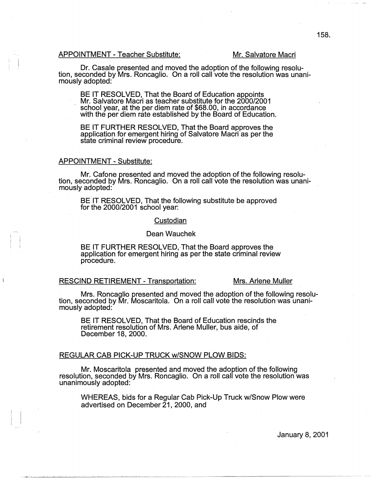### APPOINTMENT - Teacher Substitute: Mr. Salvatore Macri

Dr. Casale presented and moved the adoption of the following resolu- tion, seconded by Mrs. Roncaglio. On a roll call vote the resolution was unanimously adopted:

BE IT RESOLVED, That the Board of Education appoints Mr. Salvatore Macri as teacher substitute for the 2000/2001 school year, at the per diem rate of \$68.00, in accordance with the per diem rate established by the Board of Education.

BE IT FURTHER RESOLVED, That the Board approves the application for emergent hiring of Salvatore Macri as per the state criminal review procedure.

### APPOINTMENT - Substitute:

Mr, Catone presented and moved the adoption of the following resolu- tion, seconded by Mrs. Roncaglio. On a roll call vote the resolution was unanimously adopted:

BE IT RESOLVED, That the following substitute be approved for the 2000/2001 school year:

# **Custodian**

# Dean Wauchek

BE IT FURTHER RESOLVED, That the Board approves the application for emergent hiring as per the state criminal review procedure.

# RESCIND RETIREMENT - Transportation: Mrs. Arlene Muller

Mrs. Roncaglio presented and moved the adoption of the following resolu- tion, seconded by Mr. Moscaritola. On a roll call vote the resolution was unanimously adopted:

BE IT RESOLVED, That the Board of Education rescinds the retirement resolution of Mrs. Arlene Muller, bus aide, of December 18, 2000.

# REGULAR CAB PICK-UP TRUCK w/SNOW PLOW BIDS:

Mr. Moscaritola presented and moved the adoption of the following resolution, seconded by Mrs. Roncaglio. On a roll call vote the resolution was unanimously adopted:

WHEREAS, bids for a Regular Cab Pick-Up Truck w/Snow Plow were advertised on December 21, 2000, and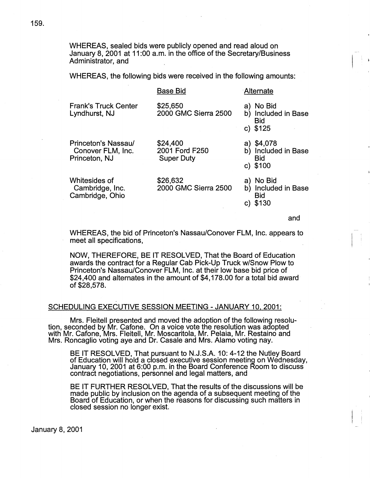WHEREAS, sealed bids were publicly opened and read aloud on January 8, 2001 at 11 :00 a.m. in the office of the Secretary/Business Administrator, and

WHEREAS, the following bids were received in the following amounts:

|                                                           | <b>Base Bid</b>                                 | Alternate                                                     |
|-----------------------------------------------------------|-------------------------------------------------|---------------------------------------------------------------|
| <b>Frank's Truck Center</b><br>Lyndhurst, NJ              | \$25,650<br>2000 GMC Sierra 2500                | a) No Bid<br>b) Included in Base<br><b>Bid</b><br>c) $$125$   |
| Princeton's Nassau/<br>Conover FLM, Inc.<br>Princeton, NJ | \$24,400<br>2001 Ford F250<br><b>Super Duty</b> | a) \$4,078<br>b) Included in Base<br><b>Bid</b><br>c) $$100$  |
| Whitesides of<br>Cambridge, Inc.<br>Cambridge, Ohio       | \$26,632<br>2000 GMC Sierra 2500                | No Bid<br>a)<br>Included in Base<br>b)<br><b>Bid</b><br>\$130 |
|                                                           |                                                 |                                                               |

and

 $\frac{1}{2}$ 

I \

WHEREAS, the bid of Princeton's Nassau/Conover FLM, Inc. appears to meet all specifications,

NOW, THEREFORE, BE IT RESOLVED, That the Board of Education awards the contract for a Regular Cab Pick-Up Truck w/Snow Plow to Princeton's Nassau/Conover FLM, Inc. at their low base bid price of \$24,400 and alternates in the amount of \$4, 178.00 for a total bid award of \$28,578.

# SCHEDULING EXECUTIVE SESSION MEETING - JANUARY 10, 2001:

Mrs. Fleitell presented and moved the adoption of the following resolution, seconded by Mr. Cafone. On a voice vote the resolution was adopted with Mr. Cafone, Mrs. Fleitell, Mr. Moscaritola, Mr. Pelaia, Mr. Restaino and Mrs. Roncaglio voting aye and Dr. Casale and Mrs. Alamo voting nay.

BE IT RESOLVED, That pursuant to N.J.S.A. 10: 4-12 the Nutley Board of Education will hold a closed executive session meeting on Wednesday, January 10, 2001 at 6:00 p.m. in the Board Conference Room to discuss contract negotiations, personnel and legal matters, and

BE IT FURTHER RESOLVED, That the results of the discussions will be made public by inclusion on the agenda of a subsequent meeting of the Board of Education, or when the reasons for discussing such matters in closed session no longer exist.